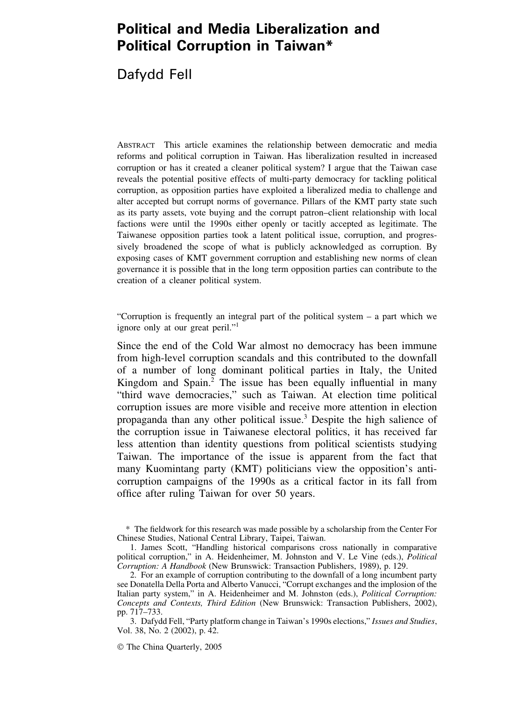# **Political and Media Liberalization and Political Corruption in Taiwan\***

Dafydd Fell

ABSTRACT This article examines the relationship between democratic and media reforms and political corruption in Taiwan. Has liberalization resulted in increased corruption or has it created a cleaner political system? I argue that the Taiwan case reveals the potential positive effects of multi-party democracy for tackling political corruption, as opposition parties have exploited a liberalized media to challenge and alter accepted but corrupt norms of governance. Pillars of the KMT party state such as its party assets, vote buying and the corrupt patron–client relationship with local factions were until the 1990s either openly or tacitly accepted as legitimate. The Taiwanese opposition parties took a latent political issue, corruption, and progressively broadened the scope of what is publicly acknowledged as corruption. By exposing cases of KMT government corruption and establishing new norms of clean governance it is possible that in the long term opposition parties can contribute to the creation of a cleaner political system.

"Corruption is frequently an integral part of the political system – a part which we ignore only at our great peril."<sup>1</sup>

Since the end of the Cold War almost no democracy has been immune from high-level corruption scandals and this contributed to the downfall of a number of long dominant political parties in Italy, the United Kingdom and Spain. $^2$  The issue has been equally influential in many "third wave democracies," such as Taiwan. At election time political corruption issues are more visible and receive more attention in election propaganda than any other political issue.3 Despite the high salience of the corruption issue in Taiwanese electoral politics, it has received far less attention than identity questions from political scientists studying Taiwan. The importance of the issue is apparent from the fact that many Kuomintang party (KMT) politicians view the opposition's anticorruption campaigns of the 1990s as a critical factor in its fall from office after ruling Taiwan for over 50 years.

© The China Quarterly, 2005

<sup>\*</sup> The fieldwork for this research was made possible by a scholarship from the Center For Chinese Studies, National Central Library, Taipei, Taiwan.

<sup>1.</sup> James Scott, "Handling historical comparisons cross nationally in comparative political corruption," in A. Heidenheimer, M. Johnston and V. Le Vine (eds.), *Political Corruption: A Handbook* (New Brunswick: Transaction Publishers, 1989), p. 129.

<sup>2.</sup> For an example of corruption contributing to the downfall of a long incumbent party see Donatella Della Porta and Alberto Vanucci, "Corrupt exchanges and the implosion of the Italian party system," in A. Heidenheimer and M. Johnston (eds.), *Political Corruption: Concepts and Contexts, Third Edition* (New Brunswick: Transaction Publishers, 2002), pp. 717–733.

<sup>3.</sup> Dafydd Fell, "Party platform change in Taiwan's 1990s elections," *Issues and Studies*, Vol. 38, No. 2 (2002), p. 42.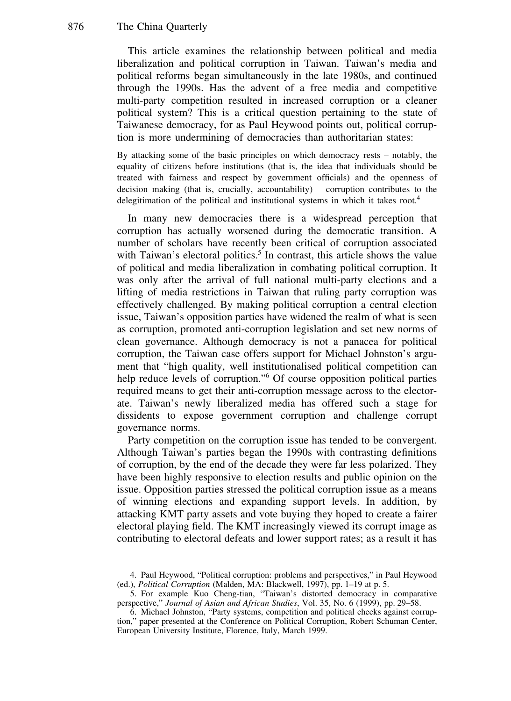This article examines the relationship between political and media liberalization and political corruption in Taiwan. Taiwan's media and political reforms began simultaneously in the late 1980s, and continued through the 1990s. Has the advent of a free media and competitive multi-party competition resulted in increased corruption or a cleaner political system? This is a critical question pertaining to the state of Taiwanese democracy, for as Paul Heywood points out, political corruption is more undermining of democracies than authoritarian states:

By attacking some of the basic principles on which democracy rests – notably, the equality of citizens before institutions (that is, the idea that individuals should be treated with fairness and respect by government officials) and the openness of decision making (that is, crucially, accountability) – corruption contributes to the delegitimation of the political and institutional systems in which it takes root.<sup>4</sup>

In many new democracies there is a widespread perception that corruption has actually worsened during the democratic transition. A number of scholars have recently been critical of corruption associated with Taiwan's electoral politics.<sup>5</sup> In contrast, this article shows the value of political and media liberalization in combating political corruption. It was only after the arrival of full national multi-party elections and a lifting of media restrictions in Taiwan that ruling party corruption was effectively challenged. By making political corruption a central election issue, Taiwan's opposition parties have widened the realm of what is seen as corruption, promoted anti-corruption legislation and set new norms of clean governance. Although democracy is not a panacea for political corruption, the Taiwan case offers support for Michael Johnston's argument that "high quality, well institutionalised political competition can help reduce levels of corruption."6 Of course opposition political parties required means to get their anti-corruption message across to the electorate. Taiwan's newly liberalized media has offered such a stage for dissidents to expose government corruption and challenge corrupt governance norms.

Party competition on the corruption issue has tended to be convergent. Although Taiwan's parties began the 1990s with contrasting definitions of corruption, by the end of the decade they were far less polarized. They have been highly responsive to election results and public opinion on the issue. Opposition parties stressed the political corruption issue as a means of winning elections and expanding support levels. In addition, by attacking KMT party assets and vote buying they hoped to create a fairer electoral playing field. The KMT increasingly viewed its corrupt image as contributing to electoral defeats and lower support rates; as a result it has

<sup>4.</sup> Paul Heywood, "Political corruption: problems and perspectives," in Paul Heywood (ed.), *Political Corruption* (Malden, MA: Blackwell, 1997), pp. 1–19 at p. 5.

<sup>5.</sup> For example Kuo Cheng-tian, "Taiwan's distorted democracy in comparative perspective," *Journal of Asian and African Studies*, Vol. 35, No. 6 (1999), pp. 29–58.

<sup>6.</sup> Michael Johnston, "Party systems, competition and political checks against corruption," paper presented at the Conference on Political Corruption, Robert Schuman Center, European University Institute, Florence, Italy, March 1999.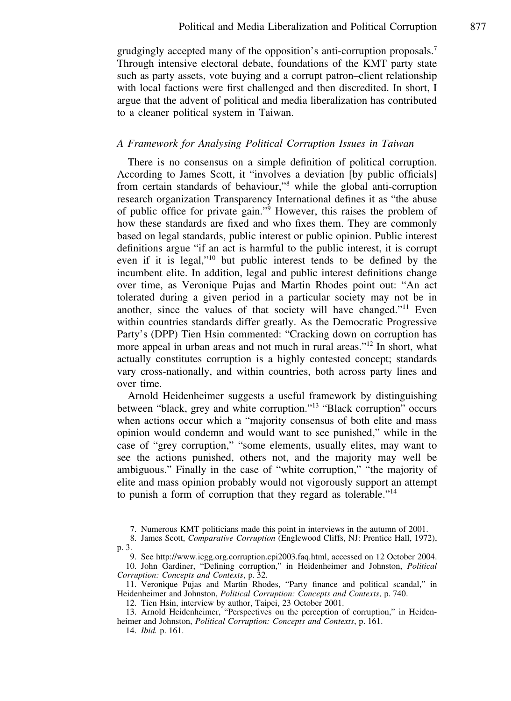grudgingly accepted many of the opposition's anti-corruption proposals.7 Through intensive electoral debate, foundations of the KMT party state such as party assets, vote buying and a corrupt patron–client relationship with local factions were first challenged and then discredited. In short, I argue that the advent of political and media liberalization has contributed to a cleaner political system in Taiwan.

### *A Framework for Analysing Political Corruption Issues in Taiwan*

There is no consensus on a simple definition of political corruption. According to James Scott, it "involves a deviation [by public officials] from certain standards of behaviour,"8 while the global anti-corruption research organization Transparency International defines it as "the abuse of public office for private gain."9 However, this raises the problem of how these standards are fixed and who fixes them. They are commonly based on legal standards, public interest or public opinion. Public interest definitions argue "if an act is harmful to the public interest, it is corrupt even if it is legal,"10 but public interest tends to be defined by the incumbent elite. In addition, legal and public interest definitions change over time, as Veronique Pujas and Martin Rhodes point out: "An act tolerated during a given period in a particular society may not be in another, since the values of that society will have changed."11 Even within countries standards differ greatly. As the Democratic Progressive Party's (DPP) Tien Hsin commented: "Cracking down on corruption has more appeal in urban areas and not much in rural areas."12 In short, what actually constitutes corruption is a highly contested concept; standards vary cross-nationally, and within countries, both across party lines and over time.

Arnold Heidenheimer suggests a useful framework by distinguishing between "black, grey and white corruption."13 "Black corruption" occurs when actions occur which a "majority consensus of both elite and mass opinion would condemn and would want to see punished," while in the case of "grey corruption," "some elements, usually elites, may want to see the actions punished, others not, and the majority may well be ambiguous." Finally in the case of "white corruption," "the majority of elite and mass opinion probably would not vigorously support an attempt to punish a form of corruption that they regard as tolerable."14

12. Tien Hsin, interview by author, Taipei, 23 October 2001.

14. *Ibid.* p. 161.

<sup>7.</sup> Numerous KMT politicians made this point in interviews in the autumn of 2001.

<sup>8.</sup> James Scott, *Comparative Corruption* (Englewood Cliffs, NJ: Prentice Hall, 1972), p. 3.

<sup>9.</sup> See http://www.icgg.org.corruption.cpi2003.faq.html, accessed on 12 October 2004.

<sup>10.</sup> John Gardiner, "Defining corruption," in Heidenheimer and Johnston, *Political Corruption: Concepts and Contexts*, p. 32.

<sup>11.</sup> Veronique Pujas and Martin Rhodes, "Party finance and political scandal," in Heidenheimer and Johnston, *Political Corruption: Concepts and Contexts*, p. 740.

<sup>13.</sup> Arnold Heidenheimer, "Perspectives on the perception of corruption," in Heidenheimer and Johnston, *Political Corruption: Concepts and Contexts*, p. 161.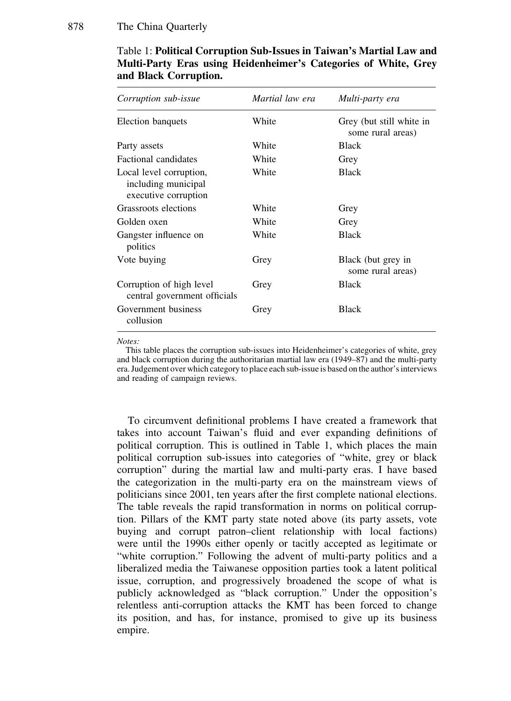| Corruption sub-issue                                                   | Martial law era | Multi-party era                               |
|------------------------------------------------------------------------|-----------------|-----------------------------------------------|
| Election banquets                                                      | White           | Grey (but still white in<br>some rural areas) |
| Party assets                                                           | White           | <b>Black</b>                                  |
| <b>Factional candidates</b>                                            | White           | Grey                                          |
| Local level corruption,<br>including municipal<br>executive corruption | White           | <b>Black</b>                                  |
| Grassroots elections                                                   | White           | Grey                                          |
| Golden oxen                                                            | White           | Grey                                          |
| Gangster influence on<br>politics                                      | White           | <b>Black</b>                                  |
| Vote buying                                                            | Grey            | Black (but grey in<br>some rural areas)       |
| Corruption of high level<br>central government officials               | Grey            | <b>Black</b>                                  |
| Government business<br>collusion                                       | Grey            | <b>Black</b>                                  |

Table 1: **Political Corruption Sub-Issues in Taiwan's Martial Law and Multi-Party Eras using Heidenheimer's Categories of White, Grey and Black Corruption.**

*Notes:*

This table places the corruption sub-issues into Heidenheimer's categories of white, grey and black corruption during the authoritarian martial law era (1949–87) and the multi-party era. Judgement over which category to place each sub-issue is based on the author's interviews and reading of campaign reviews.

To circumvent definitional problems I have created a framework that takes into account Taiwan's fluid and ever expanding definitions of political corruption. This is outlined in Table 1, which places the main political corruption sub-issues into categories of "white, grey or black corruption" during the martial law and multi-party eras. I have based the categorization in the multi-party era on the mainstream views of politicians since 2001, ten years after the first complete national elections. The table reveals the rapid transformation in norms on political corruption. Pillars of the KMT party state noted above (its party assets, vote buying and corrupt patron–client relationship with local factions) were until the 1990s either openly or tacitly accepted as legitimate or "white corruption." Following the advent of multi-party politics and a liberalized media the Taiwanese opposition parties took a latent political issue, corruption, and progressively broadened the scope of what is publicly acknowledged as "black corruption." Under the opposition's relentless anti-corruption attacks the KMT has been forced to change its position, and has, for instance, promised to give up its business empire.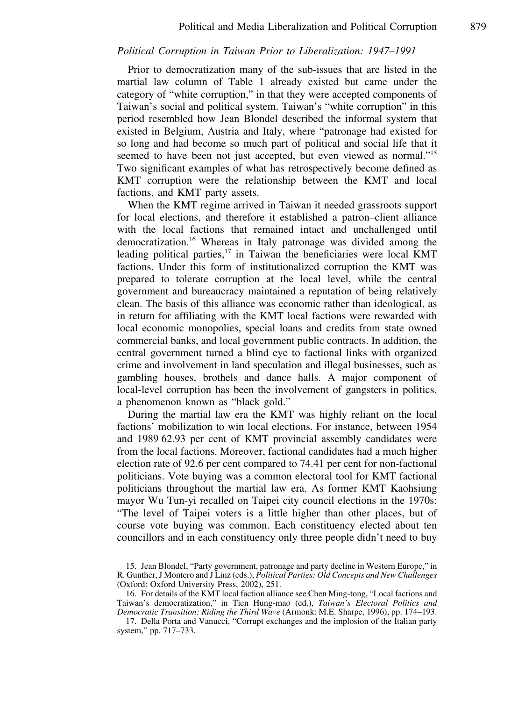## *Political Corruption in Taiwan Prior to Liberalization: 1947–1991*

Prior to democratization many of the sub-issues that are listed in the martial law column of Table 1 already existed but came under the category of "white corruption," in that they were accepted components of Taiwan's social and political system. Taiwan's "white corruption" in this period resembled how Jean Blondel described the informal system that existed in Belgium, Austria and Italy, where "patronage had existed for so long and had become so much part of political and social life that it seemed to have been not just accepted, but even viewed as normal."<sup>15</sup> Two significant examples of what has retrospectively become defined as KMT corruption were the relationship between the KMT and local factions, and KMT party assets.

When the KMT regime arrived in Taiwan it needed grassroots support for local elections, and therefore it established a patron–client alliance with the local factions that remained intact and unchallenged until democratization.16 Whereas in Italy patronage was divided among the leading political parties, $17$  in Taiwan the beneficiaries were local KMT factions. Under this form of institutionalized corruption the KMT was prepared to tolerate corruption at the local level, while the central government and bureaucracy maintained a reputation of being relatively clean. The basis of this alliance was economic rather than ideological, as in return for affiliating with the KMT local factions were rewarded with local economic monopolies, special loans and credits from state owned commercial banks, and local government public contracts. In addition, the central government turned a blind eye to factional links with organized crime and involvement in land speculation and illegal businesses, such as gambling houses, brothels and dance halls. A major component of local-level corruption has been the involvement of gangsters in politics, a phenomenon known as "black gold."

During the martial law era the KMT was highly reliant on the local factions' mobilization to win local elections. For instance, between 1954 and 1989 62.93 per cent of KMT provincial assembly candidates were from the local factions. Moreover, factional candidates had a much higher election rate of 92.6 per cent compared to 74.41 per cent for non-factional politicians. Vote buying was a common electoral tool for KMT factional politicians throughout the martial law era. As former KMT Kaohsiung mayor Wu Tun-yi recalled on Taipei city council elections in the 1970s: "The level of Taipei voters is a little higher than other places, but of course vote buying was common. Each constituency elected about ten councillors and in each constituency only three people didn't need to buy

<sup>15.</sup> Jean Blondel, "Party government, patronage and party decline in Western Europe," in R. Gunther, J Montero and J Linz (eds.), *Political Parties: Old Concepts and New Challenges* (Oxford: Oxford University Press, 2002), 251.

<sup>16.</sup> For details of the KMT local faction alliance see Chen Ming-tong, "Local factions and Taiwan's democratization," in Tien Hung-mao (ed.), *Taiwan's Electoral Politics and Democratic Transition: Riding the Third Wave* (Armonk: M.E. Sharpe, 1996), pp. 174–193.

<sup>17.</sup> Della Porta and Vanucci, "Corrupt exchanges and the implosion of the Italian party system," pp. 717–733.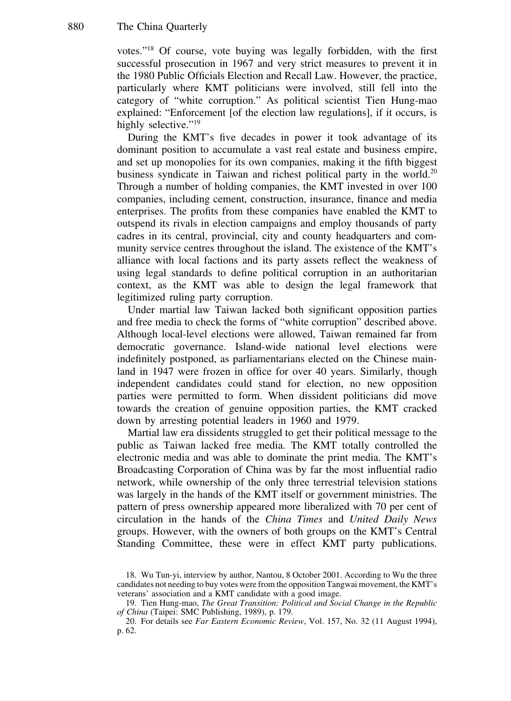votes."18 Of course, vote buying was legally forbidden, with the first successful prosecution in 1967 and very strict measures to prevent it in the 1980 Public Officials Election and Recall Law. However, the practice, particularly where KMT politicians were involved, still fell into the category of "white corruption." As political scientist Tien Hung-mao explained: "Enforcement [of the election law regulations], if it occurs, is highly selective."<sup>19</sup>

During the KMT's five decades in power it took advantage of its dominant position to accumulate a vast real estate and business empire, and set up monopolies for its own companies, making it the fifth biggest business syndicate in Taiwan and richest political party in the world.<sup>20</sup> Through a number of holding companies, the KMT invested in over 100 companies, including cement, construction, insurance, finance and media enterprises. The profits from these companies have enabled the KMT to outspend its rivals in election campaigns and employ thousands of party cadres in its central, provincial, city and county headquarters and community service centres throughout the island. The existence of the KMT's alliance with local factions and its party assets reflect the weakness of using legal standards to define political corruption in an authoritarian context, as the KMT was able to design the legal framework that legitimized ruling party corruption.

Under martial law Taiwan lacked both significant opposition parties and free media to check the forms of "white corruption" described above. Although local-level elections were allowed, Taiwan remained far from democratic governance. Island-wide national level elections were indefinitely postponed, as parliamentarians elected on the Chinese mainland in 1947 were frozen in office for over 40 years. Similarly, though independent candidates could stand for election, no new opposition parties were permitted to form. When dissident politicians did move towards the creation of genuine opposition parties, the KMT cracked down by arresting potential leaders in 1960 and 1979.

Martial law era dissidents struggled to get their political message to the public as Taiwan lacked free media. The KMT totally controlled the electronic media and was able to dominate the print media. The KMT's Broadcasting Corporation of China was by far the most influential radio network, while ownership of the only three terrestrial television stations was largely in the hands of the KMT itself or government ministries. The pattern of press ownership appeared more liberalized with 70 per cent of circulation in the hands of the *China Times* and *United Daily News* groups. However, with the owners of both groups on the KMT's Central Standing Committee, these were in effect KMT party publications.

<sup>18.</sup> Wu Tun-yi, interview by author, Nantou, 8 October 2001. According to Wu the three candidates not needing to buy votes were from the opposition Tangwai movement, the KMT's veterans' association and a KMT candidate with a good image.

<sup>19.</sup> Tien Hung-mao, *The Great Transition: Political and Social Change in the Republic of China* (Taipei: SMC Publishing, 1989), p. 179.

<sup>20.</sup> For details see *Far Eastern Economic Review*, Vol. 157, No. 32 (11 August 1994), p. 62.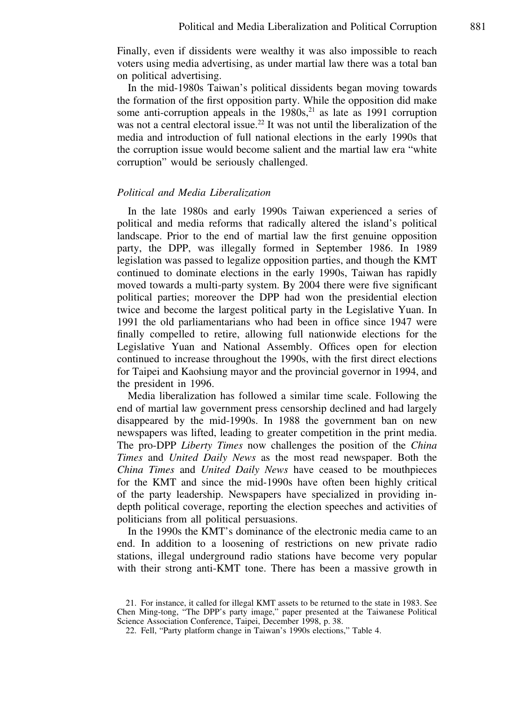Finally, even if dissidents were wealthy it was also impossible to reach voters using media advertising, as under martial law there was a total ban on political advertising.

In the mid-1980s Taiwan's political dissidents began moving towards the formation of the first opposition party. While the opposition did make some anti-corruption appeals in the  $1980s$ ,<sup>21</sup> as late as 1991 corruption was not a central electoral issue.<sup>22</sup> It was not until the liberalization of the media and introduction of full national elections in the early 1990s that the corruption issue would become salient and the martial law era "white corruption" would be seriously challenged.

# *Political and Media Liberalization*

In the late 1980s and early 1990s Taiwan experienced a series of political and media reforms that radically altered the island's political landscape. Prior to the end of martial law the first genuine opposition party, the DPP, was illegally formed in September 1986. In 1989 legislation was passed to legalize opposition parties, and though the KMT continued to dominate elections in the early 1990s, Taiwan has rapidly moved towards a multi-party system. By 2004 there were five significant political parties; moreover the DPP had won the presidential election twice and become the largest political party in the Legislative Yuan. In 1991 the old parliamentarians who had been in office since 1947 were finally compelled to retire, allowing full nationwide elections for the Legislative Yuan and National Assembly. Offices open for election continued to increase throughout the 1990s, with the first direct elections for Taipei and Kaohsiung mayor and the provincial governor in 1994, and the president in 1996.

Media liberalization has followed a similar time scale. Following the end of martial law government press censorship declined and had largely disappeared by the mid-1990s. In 1988 the government ban on new newspapers was lifted, leading to greater competition in the print media. The pro-DPP *Liberty Times* now challenges the position of the *China Times* and *United Daily News* as the most read newspaper. Both the *China Times* and *United Daily News* have ceased to be mouthpieces for the KMT and since the mid-1990s have often been highly critical of the party leadership. Newspapers have specialized in providing indepth political coverage, reporting the election speeches and activities of politicians from all political persuasions.

In the 1990s the KMT's dominance of the electronic media came to an end. In addition to a loosening of restrictions on new private radio stations, illegal underground radio stations have become very popular with their strong anti-KMT tone. There has been a massive growth in

<sup>21.</sup> For instance, it called for illegal KMT assets to be returned to the state in 1983. See Chen Ming-tong, "The DPP's party image," paper presented at the Taiwanese Political Science Association Conference, Taipei, December 1998, p. 38.

<sup>22.</sup> Fell, "Party platform change in Taiwan's 1990s elections," Table 4.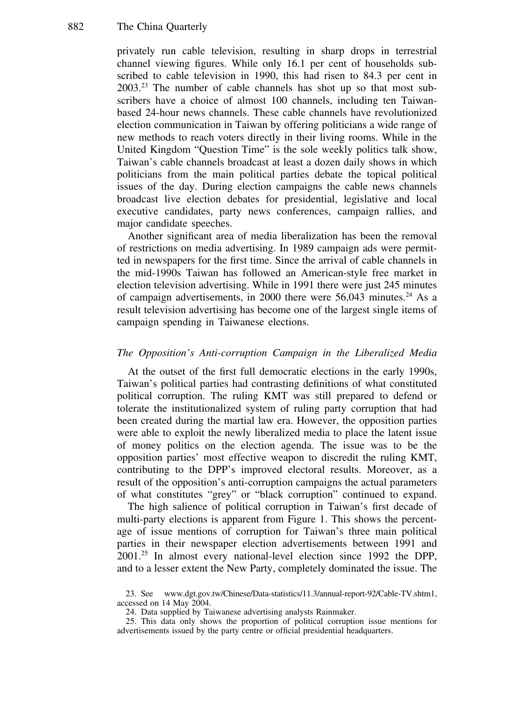privately run cable television, resulting in sharp drops in terrestrial channel viewing figures. While only 16.1 per cent of households subscribed to cable television in 1990, this had risen to 84.3 per cent in 2003.23 The number of cable channels has shot up so that most subscribers have a choice of almost 100 channels, including ten Taiwanbased 24-hour news channels. These cable channels have revolutionized election communication in Taiwan by offering politicians a wide range of new methods to reach voters directly in their living rooms. While in the United Kingdom "Question Time" is the sole weekly politics talk show, Taiwan's cable channels broadcast at least a dozen daily shows in which politicians from the main political parties debate the topical political issues of the day. During election campaigns the cable news channels broadcast live election debates for presidential, legislative and local executive candidates, party news conferences, campaign rallies, and major candidate speeches.

Another significant area of media liberalization has been the removal of restrictions on media advertising. In 1989 campaign ads were permitted in newspapers for the first time. Since the arrival of cable channels in the mid-1990s Taiwan has followed an American-style free market in election television advertising. While in 1991 there were just 245 minutes of campaign advertisements, in 2000 there were  $56,043$  minutes.<sup>24</sup> As a result television advertising has become one of the largest single items of campaign spending in Taiwanese elections.

# *The Opposition's Anti-corruption Campaign in the Liberalized Media*

At the outset of the first full democratic elections in the early 1990s, Taiwan's political parties had contrasting definitions of what constituted political corruption. The ruling KMT was still prepared to defend or tolerate the institutionalized system of ruling party corruption that had been created during the martial law era. However, the opposition parties were able to exploit the newly liberalized media to place the latent issue of money politics on the election agenda. The issue was to be the opposition parties' most effective weapon to discredit the ruling KMT, contributing to the DPP's improved electoral results. Moreover, as a result of the opposition's anti-corruption campaigns the actual parameters of what constitutes "grey" or "black corruption" continued to expand.

The high salience of political corruption in Taiwan's first decade of multi-party elections is apparent from Figure 1. This shows the percentage of issue mentions of corruption for Taiwan's three main political parties in their newspaper election advertisements between 1991 and 2001.25 In almost every national-level election since 1992 the DPP, and to a lesser extent the New Party, completely dominated the issue. The

<sup>23.</sup> See www.dgt.gov.tw/Chinese/Data-statistics/11.3/annual-report-92/Cable-TV.shtm1, accessed on 14 May 2004.

<sup>24.</sup> Data supplied by Taiwanese advertising analysts Rainmaker.

<sup>25.</sup> This data only shows the proportion of political corruption issue mentions for advertisements issued by the party centre or official presidential headquarters.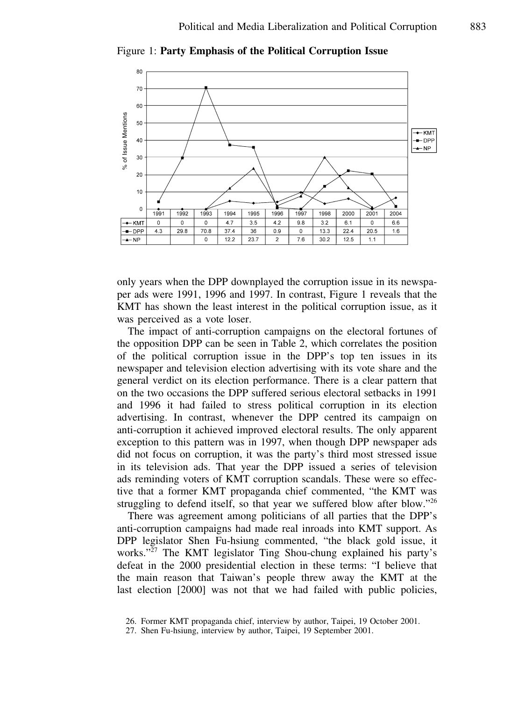

Figure 1: **Party Emphasis of the Political Corruption Issue**

only years when the DPP downplayed the corruption issue in its newspaper ads were 1991, 1996 and 1997. In contrast, Figure 1 reveals that the KMT has shown the least interest in the political corruption issue, as it was perceived as a vote loser.

The impact of anti-corruption campaigns on the electoral fortunes of the opposition DPP can be seen in Table 2, which correlates the position of the political corruption issue in the DPP's top ten issues in its newspaper and television election advertising with its vote share and the general verdict on its election performance. There is a clear pattern that on the two occasions the DPP suffered serious electoral setbacks in 1991 and 1996 it had failed to stress political corruption in its election advertising. In contrast, whenever the DPP centred its campaign on anti-corruption it achieved improved electoral results. The only apparent exception to this pattern was in 1997, when though DPP newspaper ads did not focus on corruption, it was the party's third most stressed issue in its television ads. That year the DPP issued a series of television ads reminding voters of KMT corruption scandals. These were so effective that a former KMT propaganda chief commented, "the KMT was struggling to defend itself, so that year we suffered blow after blow."26

There was agreement among politicians of all parties that the DPP's anti-corruption campaigns had made real inroads into KMT support. As DPP legislator Shen Fu-hsiung commented, "the black gold issue, it works."27 The KMT legislator Ting Shou-chung explained his party's defeat in the 2000 presidential election in these terms: "I believe that the main reason that Taiwan's people threw away the KMT at the last election [2000] was not that we had failed with public policies,

<sup>26.</sup> Former KMT propaganda chief, interview by author, Taipei, 19 October 2001.

<sup>27.</sup> Shen Fu-hsiung, interview by author, Taipei, 19 September 2001.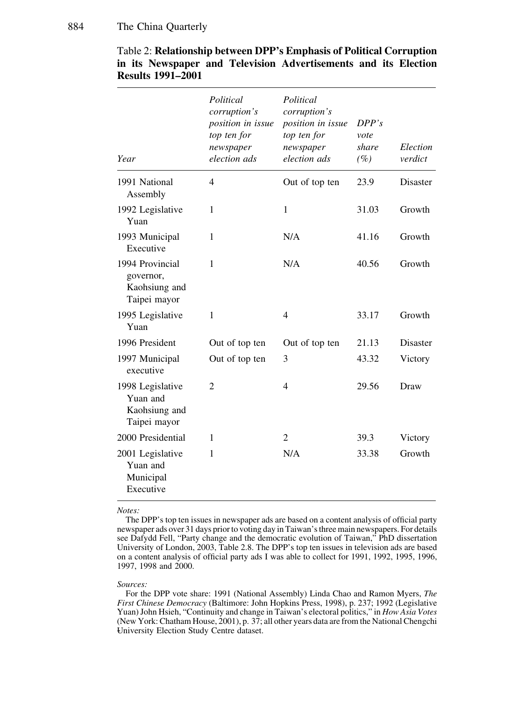| Year                                                          | Political<br>corruption's<br>position in issue<br>top ten for<br>newspaper<br>election ads | Political<br>corruption's<br>position in issue<br>top ten for<br>newspaper<br>election ads | DPP's<br>vote<br>share<br>$(\%)$ | Election<br>verdict |
|---------------------------------------------------------------|--------------------------------------------------------------------------------------------|--------------------------------------------------------------------------------------------|----------------------------------|---------------------|
| 1991 National<br>Assembly                                     | $\overline{4}$                                                                             | Out of top ten                                                                             | 23.9                             | <b>Disaster</b>     |
| 1992 Legislative<br>Yuan                                      | 1                                                                                          | $\mathbf{1}$                                                                               | 31.03                            | Growth              |
| 1993 Municipal<br>Executive                                   | 1                                                                                          | N/A                                                                                        | 41.16                            | Growth              |
| 1994 Provincial<br>governor,<br>Kaohsiung and<br>Taipei mayor | 1                                                                                          | N/A                                                                                        | 40.56                            | Growth              |
| 1995 Legislative<br>Yuan                                      | $\mathbf{1}$                                                                               | $\overline{4}$                                                                             | 33.17                            | Growth              |
| 1996 President                                                | Out of top ten                                                                             | Out of top ten                                                                             | 21.13                            | <b>Disaster</b>     |
| 1997 Municipal<br>executive                                   | Out of top ten                                                                             | 3                                                                                          | 43.32                            | Victory             |
| 1998 Legislative<br>Yuan and<br>Kaohsiung and<br>Taipei mayor | $\overline{2}$                                                                             | 4                                                                                          | 29.56                            | Draw                |
| 2000 Presidential                                             | 1                                                                                          | 2                                                                                          | 39.3                             | Victory             |
| 2001 Legislative<br>Yuan and<br>Municipal<br>Executive        | 1                                                                                          | N/A                                                                                        | 33.38                            | Growth              |

Table 2: **Relationship between DPP's Emphasis of Political Corruption in its Newspaper and Television Advertisements and its Election Results 1991–2001**

*Notes:*

The DPP's top ten issues in newspaper ads are based on a content analysis of official party newspaper ads over 31 days prior to voting day in Taiwan's three main newspapers. For details see Dafydd Fell, "Party change and the democratic evolution of Taiwan," PhD dissertation University of London, 2003, Table 2.8. The DPP's top ten issues in television ads are based on a content analysis of official party ads I was able to collect for 1991, 1992, 1995, 1996, 1997, 1998 and 2000.

#### *Sources:*

For the DPP vote share: 1991 (National Assembly) Linda Chao and Ramon Myers, *The First Chinese Democracy* (Baltimore: John Hopkins Press, 1998), p. 237; 1992 (Legislative Yuan) John Hsieh, "Continuity and change in Taiwan's electoral politics," in *How Asia Votes* (New York: Chatham House, 2001), p. 37; all other years data are from the National Chengchi University Election Study Centre dataset. -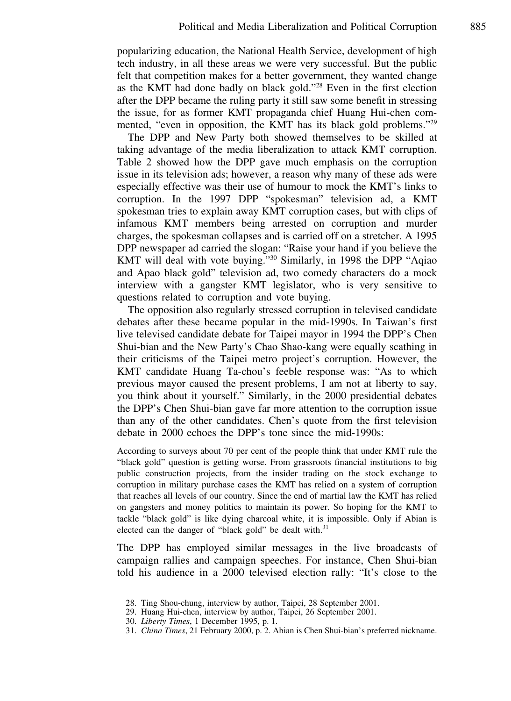popularizing education, the National Health Service, development of high tech industry, in all these areas we were very successful. But the public felt that competition makes for a better government, they wanted change as the KMT had done badly on black gold."28 Even in the first election after the DPP became the ruling party it still saw some benefit in stressing the issue, for as former KMT propaganda chief Huang Hui-chen commented, "even in opposition, the KMT has its black gold problems."29

The DPP and New Party both showed themselves to be skilled at taking advantage of the media liberalization to attack KMT corruption. Table 2 showed how the DPP gave much emphasis on the corruption issue in its television ads; however, a reason why many of these ads were especially effective was their use of humour to mock the KMT's links to corruption. In the 1997 DPP "spokesman" television ad, a KMT spokesman tries to explain away KMT corruption cases, but with clips of infamous KMT members being arrested on corruption and murder charges, the spokesman collapses and is carried off on a stretcher. A 1995 DPP newspaper ad carried the slogan: "Raise your hand if you believe the KMT will deal with vote buying."30 Similarly, in 1998 the DPP "Aqiao and Apao black gold" television ad, two comedy characters do a mock interview with a gangster KMT legislator, who is very sensitive to questions related to corruption and vote buying.

The opposition also regularly stressed corruption in televised candidate debates after these became popular in the mid-1990s. In Taiwan's first live televised candidate debate for Taipei mayor in 1994 the DPP's Chen Shui-bian and the New Party's Chao Shao-kang were equally scathing in their criticisms of the Taipei metro project's corruption. However, the KMT candidate Huang Ta-chou's feeble response was: "As to which previous mayor caused the present problems, I am not at liberty to say, you think about it yourself." Similarly, in the 2000 presidential debates the DPP's Chen Shui-bian gave far more attention to the corruption issue than any of the other candidates. Chen's quote from the first television debate in 2000 echoes the DPP's tone since the mid-1990s:

According to surveys about 70 per cent of the people think that under KMT rule the "black gold" question is getting worse. From grassroots financial institutions to big public construction projects, from the insider trading on the stock exchange to corruption in military purchase cases the KMT has relied on a system of corruption that reaches all levels of our country. Since the end of martial law the KMT has relied on gangsters and money politics to maintain its power. So hoping for the KMT to tackle "black gold" is like dying charcoal white, it is impossible. Only if Abian is elected can the danger of "black gold" be dealt with. $31$ 

The DPP has employed similar messages in the live broadcasts of campaign rallies and campaign speeches. For instance, Chen Shui-bian told his audience in a 2000 televised election rally: "It's close to the

<sup>28.</sup> Ting Shou-chung, interview by author, Taipei, 28 September 2001.

<sup>29.</sup> Huang Hui-chen, interview by author, Taipei, 26 September 2001.

<sup>30.</sup> *Liberty Times*, 1 December 1995, p. 1.

<sup>31.</sup> *China Times*, 21 February 2000, p. 2. Abian is Chen Shui-bian's preferred nickname.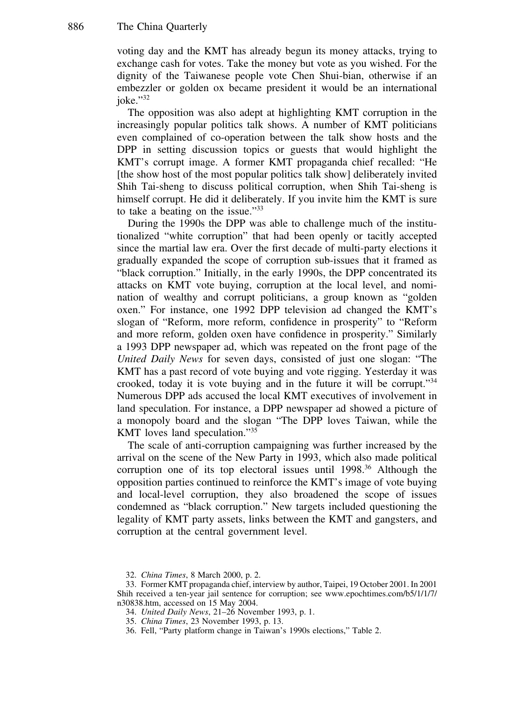voting day and the KMT has already begun its money attacks, trying to exchange cash for votes. Take the money but vote as you wished. For the dignity of the Taiwanese people vote Chen Shui-bian, otherwise if an embezzler or golden ox became president it would be an international joke."32

The opposition was also adept at highlighting KMT corruption in the increasingly popular politics talk shows. A number of KMT politicians even complained of co-operation between the talk show hosts and the DPP in setting discussion topics or guests that would highlight the KMT's corrupt image. A former KMT propaganda chief recalled: "He [the show host of the most popular politics talk show] deliberately invited Shih Tai-sheng to discuss political corruption, when Shih Tai-sheng is himself corrupt. He did it deliberately. If you invite him the KMT is sure to take a beating on the issue."33

During the 1990s the DPP was able to challenge much of the institutionalized "white corruption" that had been openly or tacitly accepted since the martial law era. Over the first decade of multi-party elections it gradually expanded the scope of corruption sub-issues that it framed as "black corruption." Initially, in the early 1990s, the DPP concentrated its attacks on KMT vote buying, corruption at the local level, and nomination of wealthy and corrupt politicians, a group known as "golden oxen." For instance, one 1992 DPP television ad changed the KMT's slogan of "Reform, more reform, confidence in prosperity" to "Reform and more reform, golden oxen have confidence in prosperity." Similarly a 1993 DPP newspaper ad, which was repeated on the front page of the *United Daily News* for seven days, consisted of just one slogan: "The KMT has a past record of vote buying and vote rigging. Yesterday it was crooked, today it is vote buying and in the future it will be corrupt."34 Numerous DPP ads accused the local KMT executives of involvement in land speculation. For instance, a DPP newspaper ad showed a picture of a monopoly board and the slogan "The DPP loves Taiwan, while the KMT loves land speculation."<sup>35</sup>

The scale of anti-corruption campaigning was further increased by the arrival on the scene of the New Party in 1993, which also made political corruption one of its top electoral issues until  $1998<sup>36</sup>$  Although the opposition parties continued to reinforce the KMT's image of vote buying and local-level corruption, they also broadened the scope of issues condemned as "black corruption." New targets included questioning the legality of KMT party assets, links between the KMT and gangsters, and corruption at the central government level.

<sup>32.</sup> *China Times*, 8 March 2000, p. 2.

<sup>33.</sup> Former KMT propaganda chief, interview by author, Taipei, 19 October 2001. In 2001 Shih received a ten-year jail sentence for corruption; see www.epochtimes.com/b5/1/1/7/ n30838.htm, accessed on 15 May 2004.

<sup>34.</sup> *United Daily News*, 21–26 November 1993, p. 1.

<sup>35.</sup> *China Times*, 23 November 1993, p. 13.

<sup>36.</sup> Fell, "Party platform change in Taiwan's 1990s elections," Table 2.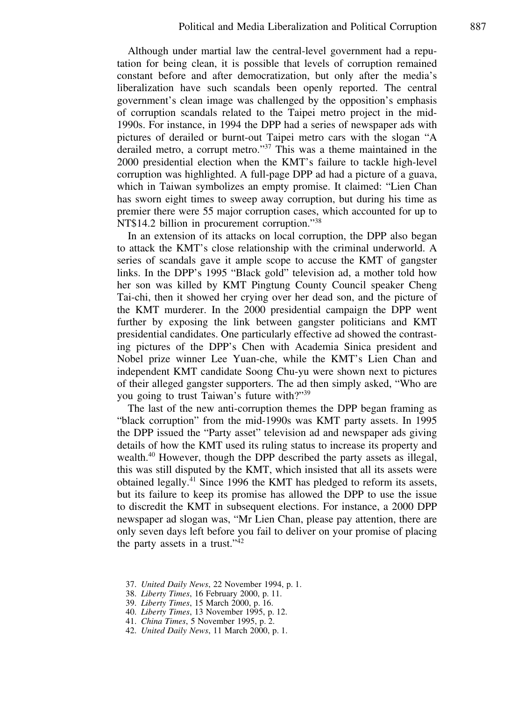Although under martial law the central-level government had a reputation for being clean, it is possible that levels of corruption remained constant before and after democratization, but only after the media's liberalization have such scandals been openly reported. The central government's clean image was challenged by the opposition's emphasis of corruption scandals related to the Taipei metro project in the mid-1990s. For instance, in 1994 the DPP had a series of newspaper ads with pictures of derailed or burnt-out Taipei metro cars with the slogan "A derailed metro, a corrupt metro."37 This was a theme maintained in the 2000 presidential election when the KMT's failure to tackle high-level corruption was highlighted. A full-page DPP ad had a picture of a guava, which in Taiwan symbolizes an empty promise. It claimed: "Lien Chan has sworn eight times to sweep away corruption, but during his time as premier there were 55 major corruption cases, which accounted for up to NT\$14.2 billion in procurement corruption."38

In an extension of its attacks on local corruption, the DPP also began to attack the KMT's close relationship with the criminal underworld. A series of scandals gave it ample scope to accuse the KMT of gangster links. In the DPP's 1995 "Black gold" television ad, a mother told how her son was killed by KMT Pingtung County Council speaker Cheng Tai-chi, then it showed her crying over her dead son, and the picture of the KMT murderer. In the 2000 presidential campaign the DPP went further by exposing the link between gangster politicians and KMT presidential candidates. One particularly effective ad showed the contrasting pictures of the DPP's Chen with Academia Sinica president and Nobel prize winner Lee Yuan-che, while the KMT's Lien Chan and independent KMT candidate Soong Chu-yu were shown next to pictures of their alleged gangster supporters. The ad then simply asked, "Who are you going to trust Taiwan's future with?"39

The last of the new anti-corruption themes the DPP began framing as "black corruption" from the mid-1990s was KMT party assets. In 1995 the DPP issued the "Party asset" television ad and newspaper ads giving details of how the KMT used its ruling status to increase its property and wealth.<sup>40</sup> However, though the DPP described the party assets as illegal, this was still disputed by the KMT, which insisted that all its assets were obtained legally.41 Since 1996 the KMT has pledged to reform its assets, but its failure to keep its promise has allowed the DPP to use the issue to discredit the KMT in subsequent elections. For instance, a 2000 DPP newspaper ad slogan was, "Mr Lien Chan, please pay attention, there are only seven days left before you fail to deliver on your promise of placing the party assets in a trust." $42$ 

- 37. *United Daily News*, 22 November 1994, p. 1.
- 38. *Liberty Times*, 16 February 2000, p. 11.
- 39. *Liberty Times*, 15 March 2000, p. 16.
- 40. *Liberty Times*, 13 November 1995, p. 12.
- 41. *China Times*, 5 November 1995, p. 2.
- 42. *United Daily News*, 11 March 2000, p. 1.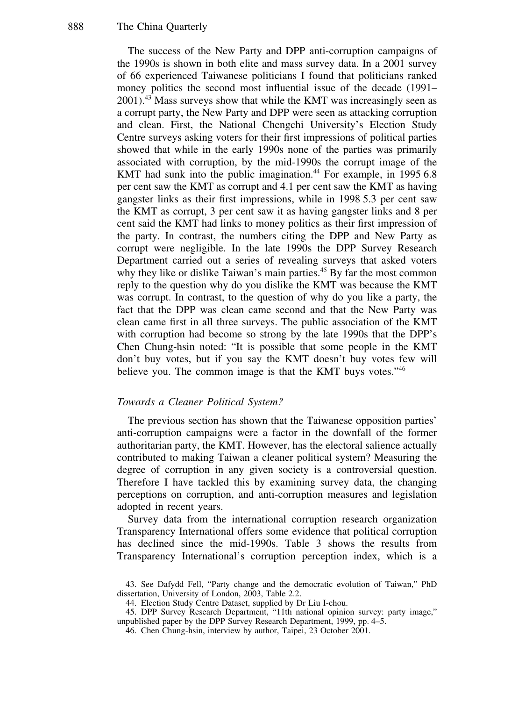The success of the New Party and DPP anti-corruption campaigns of the 1990s is shown in both elite and mass survey data. In a 2001 survey of 66 experienced Taiwanese politicians I found that politicians ranked money politics the second most influential issue of the decade (1991–  $2001$ <sup>43</sup> Mass surveys show that while the KMT was increasingly seen as a corrupt party, the New Party and DPP were seen as attacking corruption and clean. First, the National Chengchi University's Election Study Centre surveys asking voters for their first impressions of political parties showed that while in the early 1990s none of the parties was primarily associated with corruption, by the mid-1990s the corrupt image of the KMT had sunk into the public imagination.<sup>44</sup> For example, in  $19956.8$ per cent saw the KMT as corrupt and 4.1 per cent saw the KMT as having gangster links as their first impressions, while in 1998 5.3 per cent saw the KMT as corrupt, 3 per cent saw it as having gangster links and 8 per cent said the KMT had links to money politics as their first impression of the party. In contrast, the numbers citing the DPP and New Party as corrupt were negligible. In the late 1990s the DPP Survey Research Department carried out a series of revealing surveys that asked voters why they like or dislike Taiwan's main parties.<sup>45</sup> By far the most common reply to the question why do you dislike the KMT was because the KMT was corrupt. In contrast, to the question of why do you like a party, the fact that the DPP was clean came second and that the New Party was clean came first in all three surveys. The public association of the KMT with corruption had become so strong by the late 1990s that the DPP's Chen Chung-hsin noted: "It is possible that some people in the KMT don't buy votes, but if you say the KMT doesn't buy votes few will believe you. The common image is that the KMT buys votes."<sup>46</sup>

# *Towards a Cleaner Political System?*

The previous section has shown that the Taiwanese opposition parties' anti-corruption campaigns were a factor in the downfall of the former authoritarian party, the KMT. However, has the electoral salience actually contributed to making Taiwan a cleaner political system? Measuring the degree of corruption in any given society is a controversial question. Therefore I have tackled this by examining survey data, the changing perceptions on corruption, and anti-corruption measures and legislation adopted in recent years.

Survey data from the international corruption research organization Transparency International offers some evidence that political corruption has declined since the mid-1990s. Table 3 shows the results from Transparency International's corruption perception index, which is a

<sup>43.</sup> See Dafydd Fell, "Party change and the democratic evolution of Taiwan," PhD dissertation, University of London, 2003, Table 2.2.

<sup>44.</sup> Election Study Centre Dataset, supplied by Dr Liu I-chou.

<sup>45.</sup> DPP Survey Research Department, "11th national opinion survey: party image," unpublished paper by the DPP Survey Research Department, 1999, pp. 4–5.

<sup>46.</sup> Chen Chung-hsin, interview by author, Taipei, 23 October 2001.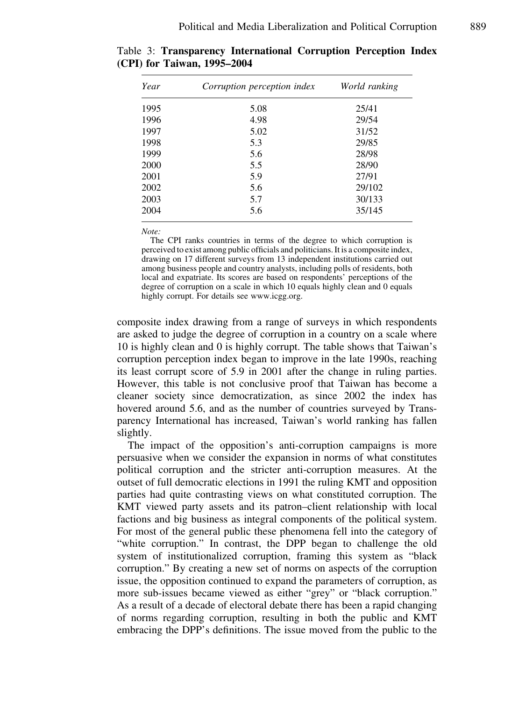| Year | Corruption perception index | World ranking |
|------|-----------------------------|---------------|
| 1995 | 5.08                        | 25/41         |
| 1996 | 4.98                        | 29/54         |
| 1997 | 5.02                        | 31/52         |
| 1998 | 5.3                         | 29/85         |
| 1999 | 5.6                         | 28/98         |
| 2000 | 5.5                         | 28/90         |
| 2001 | 5.9                         | 27/91         |
| 2002 | 5.6                         | 29/102        |
| 2003 | 5.7                         | 30/133        |
| 2004 | 5.6                         | 35/145        |

Table 3: **Transparency International Corruption Perception Index (CPI) for Taiwan, 1995–2004**

*Note:*

The CPI ranks countries in terms of the degree to which corruption is perceived to exist among public officials and politicians. It is a composite index, drawing on 17 different surveys from 13 independent institutions carried out among business people and country analysts, including polls of residents, both local and expatriate. Its scores are based on respondents' perceptions of the degree of corruption on a scale in which 10 equals highly clean and 0 equals highly corrupt. For details see www.icgg.org.

composite index drawing from a range of surveys in which respondents are asked to judge the degree of corruption in a country on a scale where 10 is highly clean and 0 is highly corrupt. The table shows that Taiwan's corruption perception index began to improve in the late 1990s, reaching its least corrupt score of 5.9 in 2001 after the change in ruling parties. However, this table is not conclusive proof that Taiwan has become a cleaner society since democratization, as since 2002 the index has hovered around 5.6, and as the number of countries surveyed by Transparency International has increased, Taiwan's world ranking has fallen slightly.

The impact of the opposition's anti-corruption campaigns is more persuasive when we consider the expansion in norms of what constitutes political corruption and the stricter anti-corruption measures. At the outset of full democratic elections in 1991 the ruling KMT and opposition parties had quite contrasting views on what constituted corruption. The KMT viewed party assets and its patron–client relationship with local factions and big business as integral components of the political system. For most of the general public these phenomena fell into the category of "white corruption." In contrast, the DPP began to challenge the old system of institutionalized corruption, framing this system as "black corruption." By creating a new set of norms on aspects of the corruption issue, the opposition continued to expand the parameters of corruption, as more sub-issues became viewed as either "grey" or "black corruption." As a result of a decade of electoral debate there has been a rapid changing of norms regarding corruption, resulting in both the public and KMT embracing the DPP's definitions. The issue moved from the public to the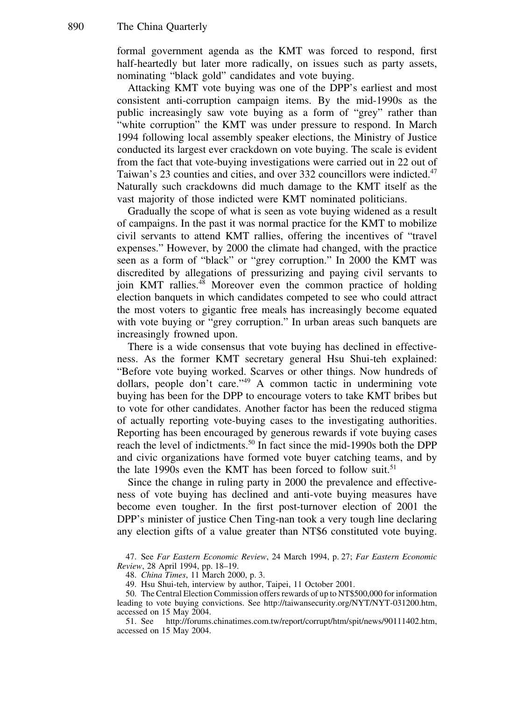formal government agenda as the KMT was forced to respond, first half-heartedly but later more radically, on issues such as party assets, nominating "black gold" candidates and vote buying.

Attacking KMT vote buying was one of the DPP's earliest and most consistent anti-corruption campaign items. By the mid-1990s as the public increasingly saw vote buying as a form of "grey" rather than "white corruption" the KMT was under pressure to respond. In March 1994 following local assembly speaker elections, the Ministry of Justice conducted its largest ever crackdown on vote buying. The scale is evident from the fact that vote-buying investigations were carried out in 22 out of Taiwan's 23 counties and cities, and over 332 councillors were indicted.<sup>47</sup> Naturally such crackdowns did much damage to the KMT itself as the vast majority of those indicted were KMT nominated politicians.

Gradually the scope of what is seen as vote buying widened as a result of campaigns. In the past it was normal practice for the KMT to mobilize civil servants to attend KMT rallies, offering the incentives of "travel expenses." However, by 2000 the climate had changed, with the practice seen as a form of "black" or "grey corruption." In 2000 the KMT was discredited by allegations of pressurizing and paying civil servants to join KMT rallies.<sup>48</sup> Moreover even the common practice of holding election banquets in which candidates competed to see who could attract the most voters to gigantic free meals has increasingly become equated with vote buying or "grey corruption." In urban areas such banquets are increasingly frowned upon.

There is a wide consensus that vote buying has declined in effectiveness. As the former KMT secretary general Hsu Shui-teh explained: "Before vote buying worked. Scarves or other things. Now hundreds of dollars, people don't care."<sup>49</sup> A common tactic in undermining vote buying has been for the DPP to encourage voters to take KMT bribes but to vote for other candidates. Another factor has been the reduced stigma of actually reporting vote-buying cases to the investigating authorities. Reporting has been encouraged by generous rewards if vote buying cases reach the level of indictments.<sup>50</sup> In fact since the mid-1990s both the DPP and civic organizations have formed vote buyer catching teams, and by the late 1990s even the KMT has been forced to follow suit.<sup>51</sup>

Since the change in ruling party in 2000 the prevalence and effectiveness of vote buying has declined and anti-vote buying measures have become even tougher. In the first post-turnover election of 2001 the DPP's minister of justice Chen Ting-nan took a very tough line declaring any election gifts of a value greater than NT\$6 constituted vote buying.

47. See *Far Eastern Economic Review*, 24 March 1994, p. 27; *Far Eastern Economic Review*, 28 April 1994, pp. 18–19.

48. *China Times*, 11 March 2000, p. 3.

49. Hsu Shui-teh, interview by author, Taipei, 11 October 2001.

51. See http://forums.chinatimes.com.tw/report/corrupt/htm/spit/news/90111402.htm, accessed on 15 May 2004.

<sup>50.</sup> The Central Election Commission offers rewards of up to NT\$500,000 for information leading to vote buying convictions. See http://taiwansecurity.org/NYT/NYT-031200.htm, accessed on 15 May 2004.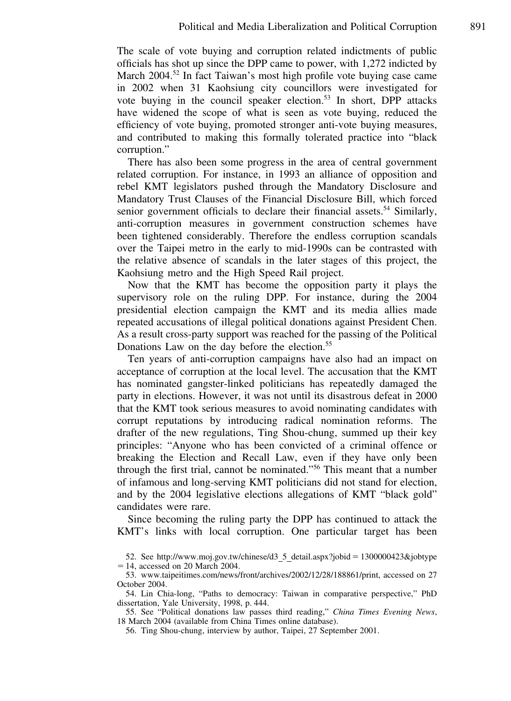The scale of vote buying and corruption related indictments of public officials has shot up since the DPP came to power, with 1,272 indicted by March 2004.<sup>52</sup> In fact Taiwan's most high profile vote buying case came in 2002 when 31 Kaohsiung city councillors were investigated for vote buying in the council speaker election.<sup>53</sup> In short, DPP attacks have widened the scope of what is seen as vote buying, reduced the efficiency of vote buying, promoted stronger anti-vote buying measures, and contributed to making this formally tolerated practice into "black corruption."

There has also been some progress in the area of central government related corruption. For instance, in 1993 an alliance of opposition and rebel KMT legislators pushed through the Mandatory Disclosure and Mandatory Trust Clauses of the Financial Disclosure Bill, which forced senior government officials to declare their financial assets.<sup>54</sup> Similarly, anti-corruption measures in government construction schemes have been tightened considerably. Therefore the endless corruption scandals over the Taipei metro in the early to mid-1990s can be contrasted with the relative absence of scandals in the later stages of this project, the Kaohsiung metro and the High Speed Rail project.

Now that the KMT has become the opposition party it plays the supervisory role on the ruling DPP. For instance, during the 2004 presidential election campaign the KMT and its media allies made repeated accusations of illegal political donations against President Chen. As a result cross-party support was reached for the passing of the Political Donations Law on the day before the election.<sup>55</sup>

Ten years of anti-corruption campaigns have also had an impact on acceptance of corruption at the local level. The accusation that the KMT has nominated gangster-linked politicians has repeatedly damaged the party in elections. However, it was not until its disastrous defeat in 2000 that the KMT took serious measures to avoid nominating candidates with corrupt reputations by introducing radical nomination reforms. The drafter of the new regulations, Ting Shou-chung, summed up their key principles: "Anyone who has been convicted of a criminal offence or breaking the Election and Recall Law, even if they have only been through the first trial, cannot be nominated."56 This meant that a number of infamous and long-serving KMT politicians did not stand for election, and by the 2004 legislative elections allegations of KMT "black gold" candidates were rare.

Since becoming the ruling party the DPP has continued to attack the KMT's links with local corruption. One particular target has been

55. See "Political donations law passes third reading," *China Times Evening News*, 18 March 2004 (available from China Times online database).

56. Ting Shou-chung, interview by author, Taipei, 27 September 2001.

<sup>52.</sup> See http://www.moj.gov.tw/chinese/d3\_5\_detail.aspx?jobid = 1300000423&jobtype  $= 14$ , accessed on 20 March 2004.

<sup>53.</sup> www.taipeitimes.com/news/front/archives/2002/12/28/188861/print, accessed on 27 October 2004.

<sup>54.</sup> Lin Chia-long, "Paths to democracy: Taiwan in comparative perspective," PhD dissertation, Yale University, 1998, p. 444.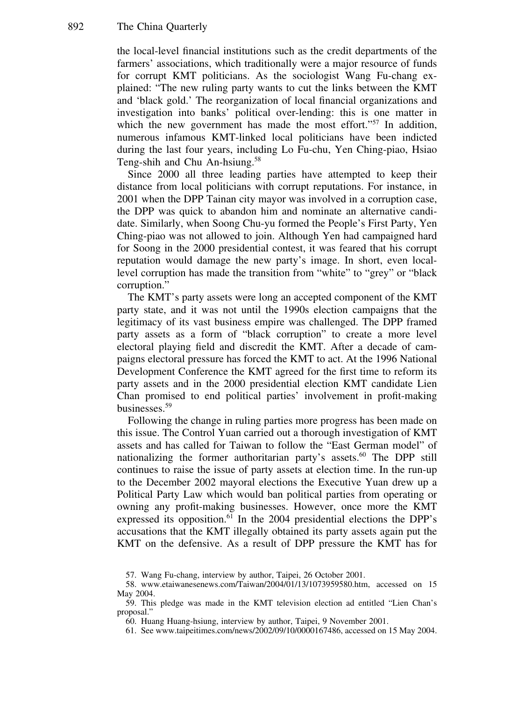the local-level financial institutions such as the credit departments of the farmers' associations, which traditionally were a major resource of funds for corrupt KMT politicians. As the sociologist Wang Fu-chang explained: "The new ruling party wants to cut the links between the KMT and 'black gold.' The reorganization of local financial organizations and investigation into banks' political over-lending: this is one matter in which the new government has made the most effort."<sup>57</sup> In addition, numerous infamous KMT-linked local politicians have been indicted during the last four years, including Lo Fu-chu, Yen Ching-piao, Hsiao Teng-shih and Chu An-hsiung.<sup>58</sup>

Since 2000 all three leading parties have attempted to keep their distance from local politicians with corrupt reputations. For instance, in 2001 when the DPP Tainan city mayor was involved in a corruption case, the DPP was quick to abandon him and nominate an alternative candidate. Similarly, when Soong Chu-yu formed the People's First Party, Yen Ching-piao was not allowed to join. Although Yen had campaigned hard for Soong in the 2000 presidential contest, it was feared that his corrupt reputation would damage the new party's image. In short, even locallevel corruption has made the transition from "white" to "grey" or "black corruption."

The KMT's party assets were long an accepted component of the KMT party state, and it was not until the 1990s election campaigns that the legitimacy of its vast business empire was challenged. The DPP framed party assets as a form of "black corruption" to create a more level electoral playing field and discredit the KMT. After a decade of campaigns electoral pressure has forced the KMT to act. At the 1996 National Development Conference the KMT agreed for the first time to reform its party assets and in the 2000 presidential election KMT candidate Lien Chan promised to end political parties' involvement in profit-making businesses.59

Following the change in ruling parties more progress has been made on this issue. The Control Yuan carried out a thorough investigation of KMT assets and has called for Taiwan to follow the "East German model" of nationalizing the former authoritarian party's assets. $60$  The DPP still continues to raise the issue of party assets at election time. In the run-up to the December 2002 mayoral elections the Executive Yuan drew up a Political Party Law which would ban political parties from operating or owning any profit-making businesses. However, once more the KMT expressed its opposition. $6\overline{1}$  In the 2004 presidential elections the DPP's accusations that the KMT illegally obtained its party assets again put the KMT on the defensive. As a result of DPP pressure the KMT has for

<sup>57.</sup> Wang Fu-chang, interview by author, Taipei, 26 October 2001.

<sup>58.</sup> www.etaiwanesenews.com/Taiwan/2004/01/13/1073959580.htm, accessed on 15 May 2004.

<sup>59.</sup> This pledge was made in the KMT television election ad entitled "Lien Chan's proposal."

<sup>60.</sup> Huang Huang-hsiung, interview by author, Taipei, 9 November 2001.

<sup>61.</sup> See www.taipeitimes.com/news/2002/09/10/0000167486, accessed on 15 May 2004.